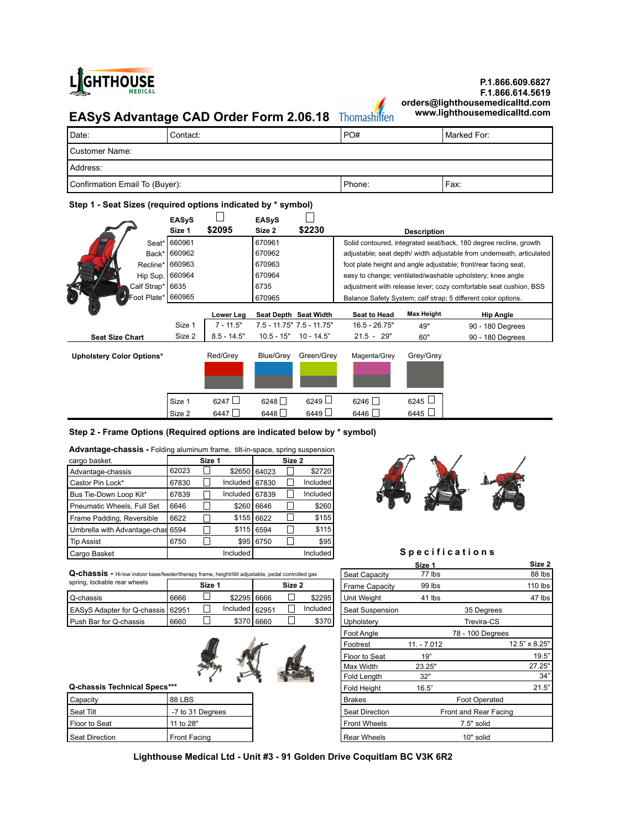

# **P.1.866.609.6827 F.1.866.614.5619 orders@lighthousemedicalltd.com**

# **EASyS Advantage CAD Order Form 2.06.18** Thomashilfen

| Date:                          | Contact: | PO#    | l Marked For: |  |  |
|--------------------------------|----------|--------|---------------|--|--|
| l Customer Name:               |          |        |               |  |  |
| Address:                       |          |        |               |  |  |
| Confirmation Email To (Buyer): |          | Phone: | Fax:          |  |  |

# **Step 1 - Seat Sizes (required options indicated by \* symbol)**

|                                  | <b>EASyS</b> |               | <b>EASyS</b> |                           |                     |                    |                                                                       |
|----------------------------------|--------------|---------------|--------------|---------------------------|---------------------|--------------------|-----------------------------------------------------------------------|
|                                  | Size 1       | \$2095        | Size 2       | \$2230                    |                     | <b>Description</b> |                                                                       |
| Seat*                            | 660961       |               | 670961       |                           |                     |                    | Solid contoured, integrated seat/back, 180 degree recline, growth     |
| Back*                            | 660962       |               | 670962       |                           |                     |                    | adjustable; seat depth/ width adjustable from underneath, articulated |
| Recline*                         | 660963       |               | 670963       |                           |                     |                    | foot plate height and angle adjustable; front/rear facing seat,       |
| Hip Sup.                         | 660964       |               | 670964       |                           |                     |                    | easy to change; ventilated/washable upholstery; knee angle            |
| Calf Strap*                      | 6635         |               | 6735         |                           |                     |                    | adjustment with release lever; cozy comfortable seat cushion, BSS     |
| Foot Plate*                      | 660965       |               | 670965       |                           |                     |                    | Balance Safety System; calf strap; 5 different color options.         |
|                                  |              | Lower Leg     |              | Seat Depth Seat Width     | <b>Seat to Head</b> | <b>Max Height</b>  | <b>Hip Angle</b>                                                      |
|                                  | Size 1       | $7 - 11.5"$   |              | 7.5 - 11.75" 7.5 - 11.75" | $16.5 - 26.75"$     | 49"                | 90 - 180 Degrees                                                      |
| <b>Seat Size Chart</b>           | Size 2       | $8.5 - 14.5"$ | $10.5 - 15"$ | $10 - 14.5"$              | $21.5 - 29"$        | 60"                | 90 - 180 Degrees                                                      |
| <b>Upholstery Color Options*</b> |              | Red/Grey      | Blue/Grey    | Green/Grey                | Magenta/Grey        | Grey/Grey          |                                                                       |
|                                  |              |               |              |                           |                     |                    |                                                                       |
|                                  | Size 1       | 6247          | $6248$       | $6249$ $\Box$             | 6246                | 6245 L             |                                                                       |
|                                  | Size 2       | 6447          | 6448         | 6449                      | 6446                | 6445 $\Box$        |                                                                       |

## **Step 2 - Frame Options (Required options are indicated below by \* symbol)**

### **Advantage-chassis -** Folding aluminum frame, tilt-in-space, spring suspension

| cargo basket.                |       | Size 1 |            |       | Size 2 |          |
|------------------------------|-------|--------|------------|-------|--------|----------|
| Advantage-chassis            | 62023 |        | \$2650     | 64023 |        | \$2720   |
| Castor Pin Lock*             | 67830 |        | Included   | 67830 |        | Included |
| Bus Tie-Down Loop Kit*       | 67839 |        | Included I | 67839 |        | Included |
| Pneumatic Wheels, Full Set   | 6646  |        | \$260      | 6646  |        | \$260    |
| Frame Padding, Reversible    | 6622  |        | \$155      | 6622  |        | \$155    |
| Umbrella with Advantage-chas | 6594  |        | \$115      | 6594  |        | \$115    |
| <b>Tip Assist</b>            | 6750  |        | \$95       | 6750  |        | \$95     |
| Cargo Basket                 |       |        | Included   |       |        | Included |



## Specifications

 **Size 1 Size 2 Size 2**

| ∼<br>-------<br>height/tili<br>u-c<br>l controlled ass<br>' adiust<br>rrame<br>etahla<br>nodo.<br>r/thorany<br>nnn.<br>taagar<br>----<br>nuviitu uds<br>1175<br>uaua<br>11115170<br>siquit.<br>וככתונ | apacıtv<br>$\sim$<br>-- | ∵lh⊾<br>1 N | 88<br>ibs |
|-------------------------------------------------------------------------------------------------------------------------------------------------------------------------------------------------------|-------------------------|-------------|-----------|
|                                                                                                                                                                                                       |                         |             |           |

| spring, lockable rear wheels        |      | Size ' |                  |            | Size 2 |          | Frame Capacity    | 99 lbs |            | 110 lbs |
|-------------------------------------|------|--------|------------------|------------|--------|----------|-------------------|--------|------------|---------|
| l Q-chassis                         | 6666 |        | \$2295 6666      |            |        | \$2295   | l Unit Weiaht     | 41 lbs |            | 47 lbs  |
| EASvS Adapter for Q-chassis I 62951 |      |        | Included $62951$ |            |        | Included | l Seat Suspension |        | 35 Degrees |         |
| l Push Bar for Q-chassis            | 6660 |        |                  | \$370 6660 |        | \$370    | Upholsterv        |        | Trevira-CS |         |



| Capacity              | 88 LBS           | <b>Brakes</b>  | Foot Operated         |
|-----------------------|------------------|----------------|-----------------------|
| Seat Tilt             | -7 to 31 Degrees | Seat Direction | Front and Rear Facing |
| Floor to Seat         | 11 to 28"        | Front Wheels   | 7.5" solid            |
| <b>Seat Direction</b> | Front Facing     | Rear Wheels    | 10" solid             |

| <b>Q-Chassis -</b> Hi-low indoor base/feeder/therapy frame, height/tilit adjustable, pedal controlled gas |               |                  |                  |            | Seat Capacity | 77 lbs   |                       | 88 lbs        |                       |               |
|-----------------------------------------------------------------------------------------------------------|---------------|------------------|------------------|------------|---------------|----------|-----------------------|---------------|-----------------------|---------------|
| spring, lockable rear wheels                                                                              |               | Size 1           |                  |            | Size 2        |          | <b>Frame Capacity</b> | 99 lbs        |                       | 110 lbs       |
| Q-chassis                                                                                                 | 6666          |                  | \$2295 6666      |            |               | \$2295   | Unit Weight           | 41 lbs        |                       | 47 lbs        |
| EASyS Adapter for Q-chassis 62951                                                                         |               |                  | Included   62951 |            |               | Included | Seat Suspension       |               | 35 Degrees            |               |
| Push Bar for Q-chassis                                                                                    | 6660          |                  |                  | \$370 6660 |               | \$370    | Upholstery            |               | Trevira-CS            |               |
|                                                                                                           |               |                  |                  |            |               |          | Foot Angle            |               | 78 - 100 Degrees      |               |
|                                                                                                           |               |                  |                  |            |               |          | Footrest              | $11. - 7.012$ |                       | 12.5" x 8.25" |
|                                                                                                           |               |                  |                  |            |               |          | Floor to Seat         | 19"           |                       | 19.5"         |
|                                                                                                           |               |                  |                  |            |               |          | Max Width             | 23.25"        |                       | 27.25"        |
|                                                                                                           |               |                  |                  |            |               |          | Fold Length           | 32"           |                       | 34"           |
| Q-chassis Technical Specs***                                                                              |               |                  |                  |            |               |          | Fold Height           | 16.5"         |                       | 21.5"         |
| Capacity                                                                                                  | <b>88 LBS</b> |                  |                  |            |               |          | <b>Brakes</b>         |               | <b>Foot Operated</b>  |               |
| Seat Tilt                                                                                                 |               | -7 to 31 Degrees |                  |            |               |          | <b>Seat Direction</b> |               | Front and Rear Facing |               |
| Floor to Seat                                                                                             | 11 to 28"     |                  |                  |            |               |          | <b>Front Wheels</b>   |               | 7.5" solid            |               |
| <b>Seat Direction</b>                                                                                     | Front Facing  |                  |                  |            |               |          | <b>Rear Wheels</b>    |               | 10" solid             |               |
|                                                                                                           |               |                  |                  |            |               |          |                       |               |                       |               |

**Lighthouse Medical Ltd - Unit #3 - 91 Golden Drive Coquitlam BC V3K 6R2**